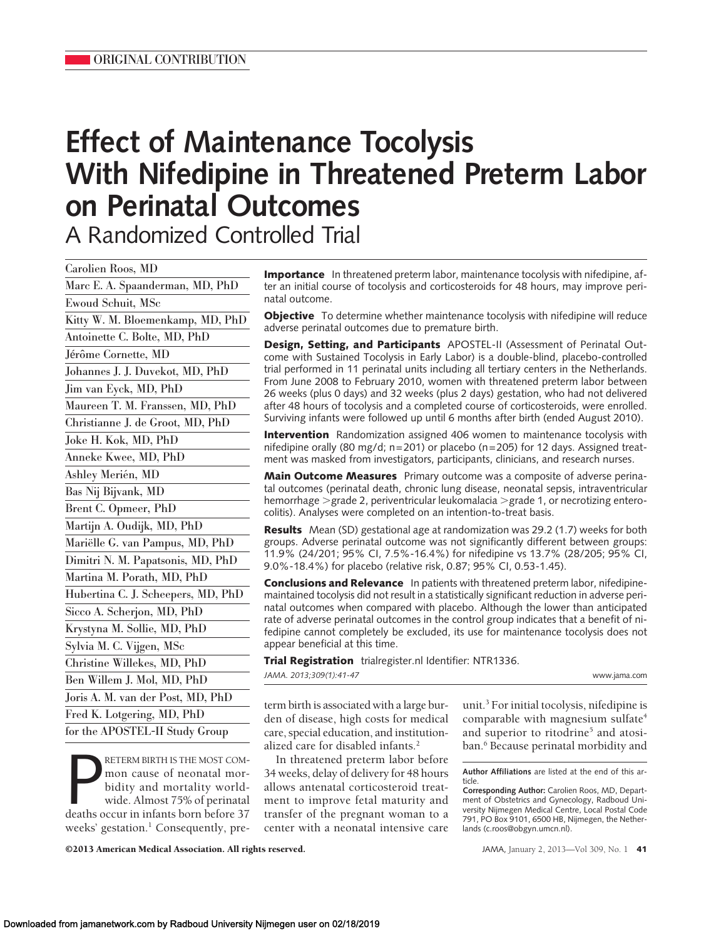# **Effect of Maintenance Tocolysis With Nifedipine in Threatened Preterm Labor on Perinatal Outcomes** A Randomized Controlled Trial

Carolien Roos, MD Marc E. A. Spaanderman, MD, PhD Ewoud Schuit, MSc Kitty W. M. Bloemenkamp, MD, PhD Antoinette C. Bolte, MD, PhD Jérôme Cornette, MD Johannes J. J. Duvekot, MD, PhD Jim van Eyck, MD, PhD Maureen T. M. Franssen, MD, PhD Christianne J. de Groot, MD, PhD Joke H. Kok, MD, PhD Anneke Kwee, MD, PhD Ashley Merién, MD Bas Nij Bijvank, MD Brent C. Opmeer, PhD Martijn A. Oudijk, MD, PhD Mariëlle G. van Pampus, MD, PhD Dimitri N. M. Papatsonis, MD, PhD Martina M. Porath, MD, PhD Hubertina C. J. Scheepers, MD, PhD Sicco A. Scherjon, MD, PhD Krystyna M. Sollie, MD, PhD Sylvia M. C. Vijgen, MSc Christine Willekes, MD, PhD Ben Willem J. Mol, MD, PhD Joris A. M. van der Post, MD, PhD Fred K. Lotgering, MD, PhD for the APOSTEL-II Study Group

RETERM BIRTH IS THE MOST COM-<br>
mon cause of neonatal mor-<br>
bidity and mortality world-<br>
wide. Almost 75% of perinatal<br>
deaths occur in infants born before 37 RETERM BIRTH IS THE MOST COMmon cause of neonatal morbidity and mortality worldwide. Almost 75% of perinatal weeks' gestation.<sup>1</sup> Consequently, pre**Importance** In threatened preterm labor, maintenance tocolysis with nifedipine, after an initial course of tocolysis and corticosteroids for 48 hours, may improve perinatal outcome.

**Objective** To determine whether maintenance tocolysis with nifedipine will reduce adverse perinatal outcomes due to premature birth.

**Design, Setting, and Participants** APOSTEL-II (Assessment of Perinatal Outcome with Sustained Tocolysis in Early Labor) is a double-blind, placebo-controlled trial performed in 11 perinatal units including all tertiary centers in the Netherlands. From June 2008 to February 2010, women with threatened preterm labor between 26 weeks (plus 0 days) and 32 weeks (plus 2 days) gestation, who had not delivered after 48 hours of tocolysis and a completed course of corticosteroids, were enrolled. Surviving infants were followed up until 6 months after birth (ended August 2010).

**Intervention** Randomization assigned 406 women to maintenance tocolysis with nifedipine orally (80 mg/d;  $n=201$ ) or placebo ( $n=205$ ) for 12 days. Assigned treatment was masked from investigators, participants, clinicians, and research nurses.

**Main Outcome Measures** Primary outcome was a composite of adverse perinatal outcomes (perinatal death, chronic lung disease, neonatal sepsis, intraventricular hemorrhage >grade 2, periventricular leukomalacia >grade 1, or necrotizing enterocolitis). Analyses were completed on an intention-to-treat basis.

**Results** Mean (SD) gestational age at randomization was 29.2 (1.7) weeks for both groups. Adverse perinatal outcome was not significantly different between groups: 11.9% (24/201; 95% CI, 7.5%-16.4%) for nifedipine vs 13.7% (28/205; 95% CI, 9.0%-18.4%) for placebo (relative risk, 0.87; 95% CI, 0.53-1.45).

**Conclusions and Relevance** In patients with threatened preterm labor, nifedipinemaintained tocolysis did not result in a statistically significant reduction in adverse perinatal outcomes when compared with placebo. Although the lower than anticipated rate of adverse perinatal outcomes in the control group indicates that a benefit of nifedipine cannot completely be excluded, its use for maintenance tocolysis does not appear beneficial at this time.

**Trial Registration** trialregister.nl Identifier: NTR1336. *JAMA. 2013;309(1):41-47* www.jama.com

term birth is associated with a large burden of disease, high costs for medical care, special education, and institutionalized care for disabled infants.2

In threatened preterm labor before 34 weeks, delay of delivery for 48 hours allows antenatal corticosteroid treatment to improve fetal maturity and transfer of the pregnant woman to a center with a neonatal intensive care

unit.3 For initial tocolysis, nifedipine is comparable with magnesium sulfate<sup>4</sup> and superior to ritodrine<sup>5</sup> and atosiban.<sup>6</sup> Because perinatal morbidity and

**Author Affiliations** are listed at the end of this article.

**Corresponding Author:** Carolien Roos, MD, Department of Obstetrics and Gynecology, Radboud University Nijmegen Medical Centre, Local Postal Code 791, PO Box 9101, 6500 HB, Nijmegen, the Netherlands (c.roos@obgyn.umcn.nl).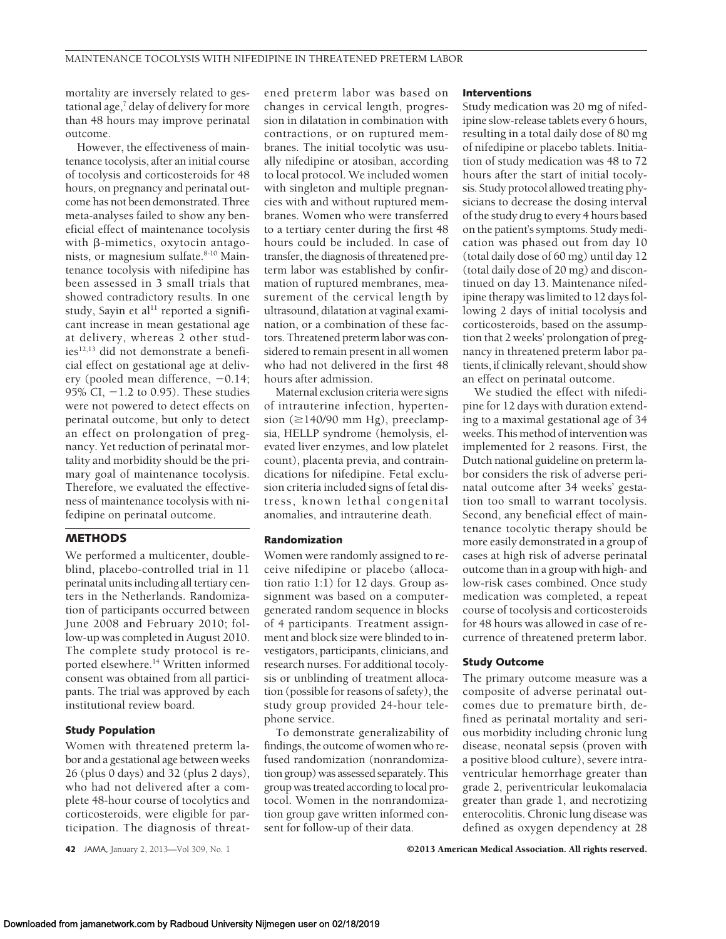mortality are inversely related to gestational age, $7$  delay of delivery for more than 48 hours may improve perinatal outcome.

However, the effectiveness of maintenance tocolysis, after an initial course of tocolysis and corticosteroids for 48 hours, on pregnancy and perinatal outcome has not been demonstrated. Three meta-analyses failed to show any beneficial effect of maintenance tocolysis with  $\beta$ -mimetics, oxytocin antagonists, or magnesium sulfate.<sup>8-10</sup> Maintenance tocolysis with nifedipine has been assessed in 3 small trials that showed contradictory results. In one study, Sayin et al $^{11}$  reported a significant increase in mean gestational age at delivery, whereas 2 other studies<sup>12,13</sup> did not demonstrate a beneficial effect on gestational age at delivery (pooled mean difference,  $-0.14$ ; 95% CI,  $-1.2$  to 0.95). These studies were not powered to detect effects on perinatal outcome, but only to detect an effect on prolongation of pregnancy. Yet reduction of perinatal mortality and morbidity should be the primary goal of maintenance tocolysis. Therefore, we evaluated the effectiveness of maintenance tocolysis with nifedipine on perinatal outcome.

## **METHODS**

We performed a multicenter, doubleblind, placebo-controlled trial in 11 perinatal units including all tertiary centers in the Netherlands. Randomization of participants occurred between June 2008 and February 2010; follow-up was completed in August 2010. The complete study protocol is reported elsewhere.14 Written informed consent was obtained from all participants. The trial was approved by each institutional review board.

## **Study Population**

Women with threatened preterm labor and a gestational age between weeks 26 (plus 0 days) and 32 (plus 2 days), who had not delivered after a complete 48-hour course of tocolytics and corticosteroids, were eligible for participation. The diagnosis of threat-

**42** JAMA, January 2, 2013—Vol 309, No. 1 **Canadia American Medical Association. All rights reserved.** 

ened preterm labor was based on changes in cervical length, progression in dilatation in combination with contractions, or on ruptured membranes. The initial tocolytic was usually nifedipine or atosiban, according to local protocol. We included women with singleton and multiple pregnancies with and without ruptured membranes. Women who were transferred to a tertiary center during the first 48 hours could be included. In case of transfer, the diagnosis of threatened preterm labor was established by confirmation of ruptured membranes, measurement of the cervical length by ultrasound, dilatation at vaginal examination, or a combination of these factors. Threatened preterm labor was considered to remain present in all women who had not delivered in the first 48 hours after admission.

Maternal exclusion criteria were signs of intrauterine infection, hypertension ( $\geq$ 140/90 mm Hg), preeclampsia, HELLP syndrome (hemolysis, elevated liver enzymes, and low platelet count), placenta previa, and contraindications for nifedipine. Fetal exclusion criteria included signs of fetal distress, known lethal congenital anomalies, and intrauterine death.

## **Randomization**

Women were randomly assigned to receive nifedipine or placebo (allocation ratio 1:1) for 12 days. Group assignment was based on a computergenerated random sequence in blocks of 4 participants. Treatment assignment and block size were blinded to investigators, participants, clinicians, and research nurses. For additional tocolysis or unblinding of treatment allocation (possible for reasons of safety), the study group provided 24-hour telephone service.

To demonstrate generalizability of findings, the outcome of women who refused randomization (nonrandomization group) was assessed separately. This group was treated according to local protocol. Women in the nonrandomization group gave written informed consent for follow-up of their data.

#### **Interventions**

Study medication was 20 mg of nifedipine slow-release tablets every 6 hours, resulting in a total daily dose of 80 mg of nifedipine or placebo tablets. Initiation of study medication was 48 to 72 hours after the start of initial tocolysis. Study protocol allowed treating physicians to decrease the dosing interval of the study drug to every 4 hours based on the patient's symptoms. Study medication was phased out from day 10 (total daily dose of 60 mg) until day 12 (total daily dose of 20 mg) and discontinued on day 13. Maintenance nifedipine therapy was limited to 12 days following 2 days of initial tocolysis and corticosteroids, based on the assumption that 2 weeks' prolongation of pregnancy in threatened preterm labor patients, if clinically relevant, should show an effect on perinatal outcome.

We studied the effect with nifedipine for 12 days with duration extending to a maximal gestational age of 34 weeks. This method of intervention was implemented for 2 reasons. First, the Dutch national guideline on preterm labor considers the risk of adverse perinatal outcome after 34 weeks' gestation too small to warrant tocolysis. Second, any beneficial effect of maintenance tocolytic therapy should be more easily demonstrated in a group of cases at high risk of adverse perinatal outcome than in a group with high- and low-risk cases combined. Once study medication was completed, a repeat course of tocolysis and corticosteroids for 48 hours was allowed in case of recurrence of threatened preterm labor.

## **Study Outcome**

The primary outcome measure was a composite of adverse perinatal outcomes due to premature birth, defined as perinatal mortality and serious morbidity including chronic lung disease, neonatal sepsis (proven with a positive blood culture), severe intraventricular hemorrhage greater than grade 2, periventricular leukomalacia greater than grade 1, and necrotizing enterocolitis. Chronic lung disease was defined as oxygen dependency at 28

Downloaded from jamanetwork.com by Radboud University Nijmegen user on 02/18/2019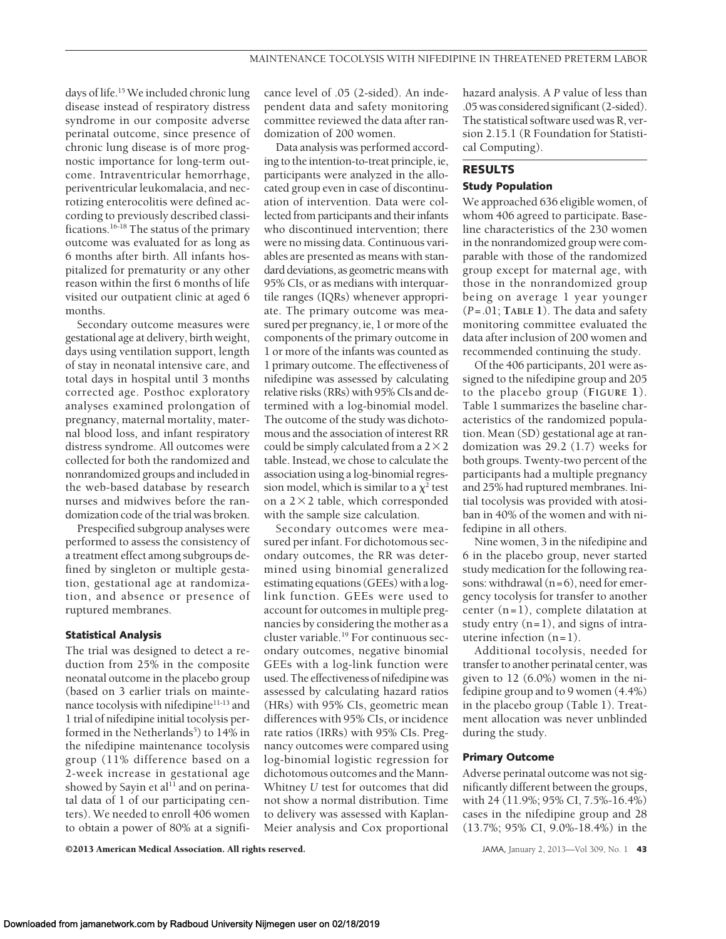days of life.<sup>15</sup> We included chronic lung disease instead of respiratory distress syndrome in our composite adverse perinatal outcome, since presence of chronic lung disease is of more prognostic importance for long-term outcome. Intraventricular hemorrhage, periventricular leukomalacia, and necrotizing enterocolitis were defined according to previously described classifications.16-18 The status of the primary outcome was evaluated for as long as 6 months after birth. All infants hospitalized for prematurity or any other reason within the first 6 months of life visited our outpatient clinic at aged 6 months.

Secondary outcome measures were gestational age at delivery, birth weight, days using ventilation support, length of stay in neonatal intensive care, and total days in hospital until 3 months corrected age. Posthoc exploratory analyses examined prolongation of pregnancy, maternal mortality, maternal blood loss, and infant respiratory distress syndrome. All outcomes were collected for both the randomized and nonrandomized groups and included in the web-based database by research nurses and midwives before the randomization code of the trial was broken.

Prespecified subgroup analyses were performed to assess the consistency of a treatment effect among subgroups defined by singleton or multiple gestation, gestational age at randomization, and absence or presence of ruptured membranes.

### **Statistical Analysis**

The trial was designed to detect a reduction from 25% in the composite neonatal outcome in the placebo group (based on 3 earlier trials on maintenance tocolysis with nifedipine<sup>11-13</sup> and 1 trial of nifedipine initial tocolysis performed in the Netherlands<sup>5</sup>) to 14% in the nifedipine maintenance tocolysis group (11% difference based on a 2-week increase in gestational age showed by Sayin et al<sup>11</sup> and on perinatal data of 1 of our participating centers). We needed to enroll 406 women to obtain a power of 80% at a significance level of .05 (2-sided). An independent data and safety monitoring committee reviewed the data after randomization of 200 women.

Data analysis was performed according to the intention-to-treat principle, ie, participants were analyzed in the allocated group even in case of discontinuation of intervention. Data were collected from participants and their infants who discontinued intervention; there were no missing data. Continuous variables are presented as means with standard deviations, as geometric means with 95% CIs, or as medians with interquartile ranges (IQRs) whenever appropriate. The primary outcome was measured per pregnancy, ie, 1 or more of the components of the primary outcome in 1 or more of the infants was counted as 1 primary outcome. The effectiveness of nifedipine was assessed by calculating relative risks (RRs) with 95% CIs and determined with a log-binomial model. The outcome of the study was dichotomous and the association of interest RR could be simply calculated from a  $2\times2$ table. Instead, we chose to calculate the association using a log-binomial regression model, which is similar to a  $\chi^2$  test on a  $2 \times 2$  table, which corresponded with the sample size calculation.

Secondary outcomes were measured per infant. For dichotomous secondary outcomes, the RR was determined using binomial generalized estimating equations (GEEs) with a loglink function. GEEs were used to account for outcomes in multiple pregnancies by considering the mother as a cluster variable.19 For continuous secondary outcomes, negative binomial GEEs with a log-link function were used. The effectiveness of nifedipine was assessed by calculating hazard ratios (HRs) with 95% CIs, geometric mean differences with 95% CIs, or incidence rate ratios (IRRs) with 95% CIs. Pregnancy outcomes were compared using log-binomial logistic regression for dichotomous outcomes and the Mann-Whitney *U* test for outcomes that did not show a normal distribution. Time to delivery was assessed with Kaplan-Meier analysis and Cox proportional

hazard analysis. A *P* value of less than .05 was considered significant (2-sided). The statistical software used was R, version 2.15.1 (R Foundation for Statistical Computing).

# **RESULTS Study Population**

We approached 636 eligible women, of whom 406 agreed to participate. Baseline characteristics of the 230 women in the nonrandomized group were comparable with those of the randomized group except for maternal age, with those in the nonrandomized group being on average 1 year younger (*P*=.01; **TABLE 1**). The data and safety monitoring committee evaluated the data after inclusion of 200 women and recommended continuing the study.

Of the 406 participants, 201 were assigned to the nifedipine group and 205 to the placebo group (**FIGURE 1**). Table 1 summarizes the baseline characteristics of the randomized population. Mean (SD) gestational age at randomization was 29.2 (1.7) weeks for both groups. Twenty-two percent of the participants had a multiple pregnancy and 25% had ruptured membranes. Initial tocolysis was provided with atosiban in 40% of the women and with nifedipine in all others.

Nine women, 3 in the nifedipine and 6 in the placebo group, never started study medication for the following reasons: withdrawal (n=6), need for emergency tocolysis for transfer to another center (n=1), complete dilatation at study entry  $(n=1)$ , and signs of intrauterine infection  $(n=1)$ .

Additional tocolysis, needed for transfer to another perinatal center, was given to 12 (6.0%) women in the nifedipine group and to 9 women (4.4%) in the placebo group (Table 1). Treatment allocation was never unblinded during the study.

## **Primary Outcome**

Adverse perinatal outcome was not significantly different between the groups, with 24 (11.9%; 95% CI, 7.5%-16.4%) cases in the nifedipine group and 28 (13.7%; 95% CI, 9.0%-18.4%) in the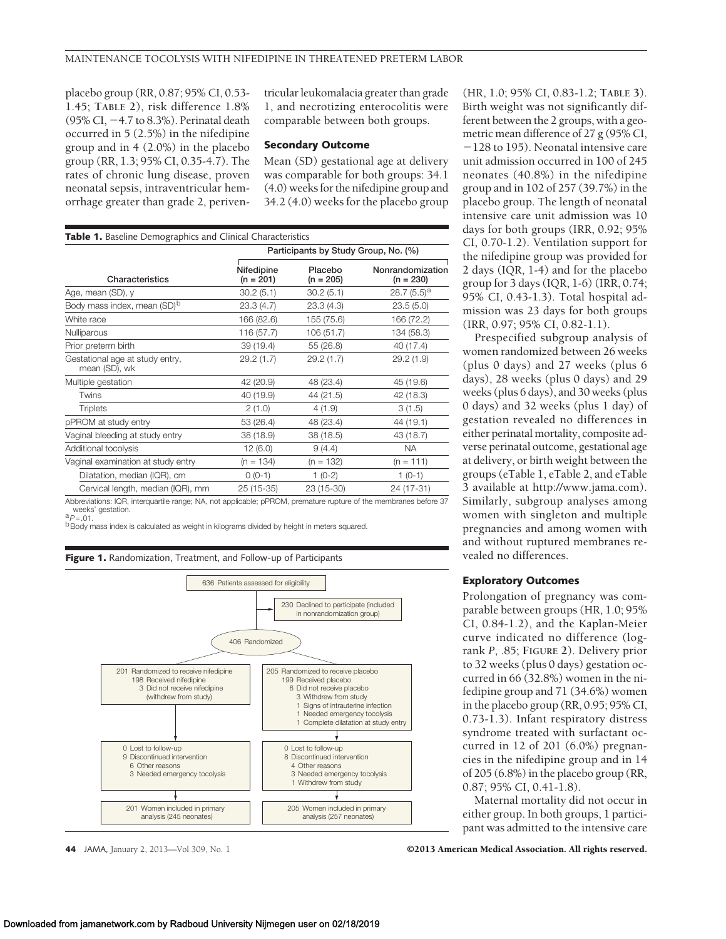placebo group (RR, 0.87; 95% CI, 0.53- 1.45; **TABLE 2**), risk difference 1.8%  $(95\% \text{ CI}, -4.7 \text{ to } 8.3\%)$ . Perinatal death occurred in 5 (2.5%) in the nifedipine group and in 4 (2.0%) in the placebo group (RR, 1.3; 95% CI, 0.35-4.7). The rates of chronic lung disease, proven neonatal sepsis, intraventricular hemorrhage greater than grade 2, periventricular leukomalacia greater than grade 1, and necrotizing enterocolitis were comparable between both groups.

## **Secondary Outcome**

Mean (SD) gestational age at delivery was comparable for both groups: 34.1 (4.0) weeks for the nifedipine group and 34.2 (4.0) weeks for the placebo group

| <b>Table 1.</b> Baseline Demographics and Clinical Characteristics |                                      |                        |                                 |  |  |  |  |
|--------------------------------------------------------------------|--------------------------------------|------------------------|---------------------------------|--|--|--|--|
|                                                                    | Participants by Study Group, No. (%) |                        |                                 |  |  |  |  |
| Characteristics                                                    | Nifedipine<br>$(n = 201)$            | Placebo<br>$(n = 205)$ | Nonrandomization<br>$(n = 230)$ |  |  |  |  |
| Age, mean (SD), y                                                  | 30.2(5.1)                            | 30.2(5.1)              | $28.7(5.5)^a$                   |  |  |  |  |
| Body mass index, mean (SD) <sup>b</sup>                            | 23.3(4.7)                            | 23.3(4.3)              | 23.5(5.0)                       |  |  |  |  |
| White race                                                         | 166 (82.6)                           | 155 (75.6)             | 166 (72.2)                      |  |  |  |  |
| Nulliparous                                                        | 116 (57.7)                           | 106 (51.7)             | 134 (58.3)                      |  |  |  |  |
| Prior preterm birth                                                | 39 (19.4)                            | 55 (26.8)              | 40 (17.4)                       |  |  |  |  |
| Gestational age at study entry,<br>mean (SD), wk                   | 29.2(1.7)                            | 29.2(1.7)              | 29.2(1.9)                       |  |  |  |  |
| Multiple gestation                                                 | 42 (20.9)                            | 48 (23.4)              | 45 (19.6)                       |  |  |  |  |
| Twins                                                              | 40 (19.9)                            | 44 (21.5)              | 42 (18.3)                       |  |  |  |  |
| <b>Triplets</b>                                                    | 2(1.0)                               | 4(1.9)                 | 3(1.5)                          |  |  |  |  |
| pPROM at study entry                                               | 53 (26.4)                            | 48 (23.4)              | 44 (19.1)                       |  |  |  |  |
| Vaginal bleeding at study entry                                    | 38 (18.9)                            | 38 (18.5)              | 43 (18.7)                       |  |  |  |  |
| Additional tocolysis                                               | 12(6.0)                              | 9(4.4)                 | <b>NA</b>                       |  |  |  |  |
| Vaginal examination at study entry                                 | $(n = 134)$                          | $(n = 132)$            | $(n = 111)$                     |  |  |  |  |
| Dilatation, median (IQR), cm                                       | $0(0-1)$                             | $1(0-2)$               | $1(0-1)$                        |  |  |  |  |
| Cervical length, median (IQR), mm                                  | 25 (15-35)                           | 23 (15-30)             | 24 (17-31)                      |  |  |  |  |

Abbreviations: IQR, interquartile range; NA, not applicable; pPROM, premature rupture of the membranes before 37

weekstation.<br><sup>a</sup>*P=*.01.<br><sup>b</sup>Body mass index is calculated as weight in kilograms divided by height in meters squared.



**44** JAMA, January 2, 2013—Vol 309, No. 1 **Canadia American Medical Association. All rights reserved.** 

(HR, 1.0; 95% CI, 0.83-1.2; **TABLE 3**). Birth weight was not significantly different between the 2 groups, with a geometric mean difference of 27 g (95% CI,  $-128$  to 195). Neonatal intensive care unit admission occurred in 100 of 245 neonates (40.8%) in the nifedipine group and in 102 of 257 (39.7%) in the placebo group. The length of neonatal intensive care unit admission was 10 days for both groups (IRR, 0.92; 95% CI, 0.70-1.2). Ventilation support for the nifedipine group was provided for 2 days (IQR, 1-4) and for the placebo group for 3 days (IQR, 1-6) (IRR, 0.74; 95% CI, 0.43-1.3). Total hospital admission was 23 days for both groups (IRR, 0.97; 95% CI, 0.82-1.1).

Prespecified subgroup analysis of women randomized between 26 weeks (plus 0 days) and 27 weeks (plus 6 days), 28 weeks (plus 0 days) and 29 weeks (plus 6 days), and 30 weeks (plus 0 days) and 32 weeks (plus 1 day) of gestation revealed no differences in either perinatal mortality, composite adverse perinatal outcome, gestational age at delivery, or birth weight between the groups (eTable 1, eTable 2, and eTable 3 available at http://www.jama.com). Similarly, subgroup analyses among women with singleton and multiple pregnancies and among women with and without ruptured membranes revealed no differences.

## **Exploratory Outcomes**

Prolongation of pregnancy was comparable between groups (HR, 1.0; 95% CI, 0.84-1.2), and the Kaplan-Meier curve indicated no difference (logrank *P*, .85; **FIGURE 2**). Delivery prior to 32 weeks (plus 0 days) gestation occurred in 66 (32.8%) women in the nifedipine group and 71 (34.6%) women in the placebo group (RR, 0.95; 95% CI, 0.73-1.3). Infant respiratory distress syndrome treated with surfactant occurred in 12 of 201 (6.0%) pregnancies in the nifedipine group and in 14 of 205 (6.8%) in the placebo group (RR, 0.87; 95% CI, 0.41-1.8).

Maternal mortality did not occur in either group. In both groups, 1 participant was admitted to the intensive care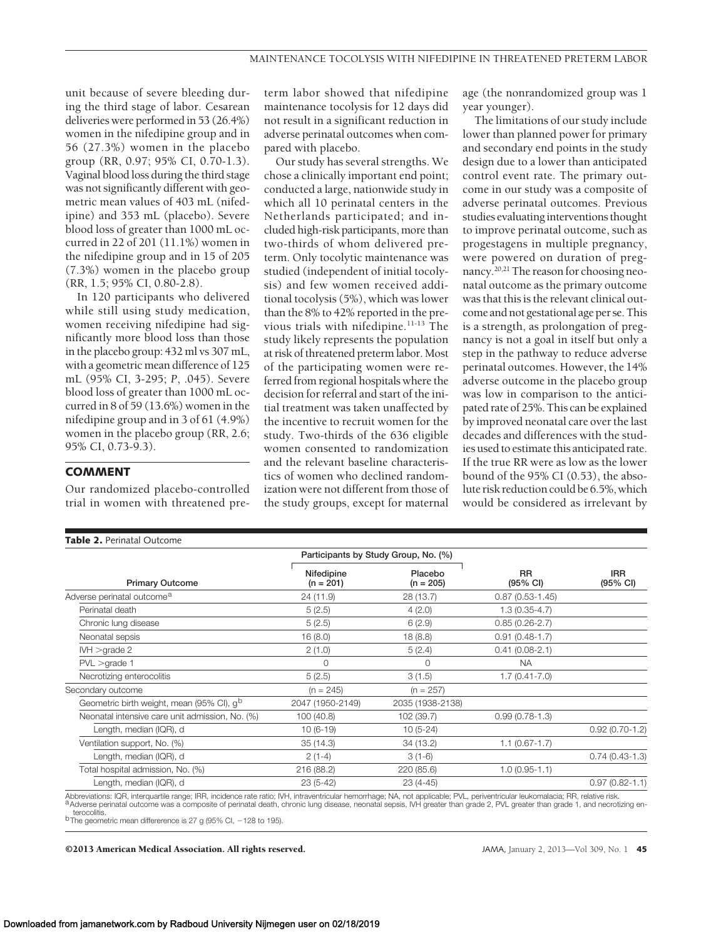unit because of severe bleeding during the third stage of labor. Cesarean deliveries were performed in 53 (26.4%) women in the nifedipine group and in 56 (27.3%) women in the placebo group (RR, 0.97; 95% CI, 0.70-1.3). Vaginal blood loss during the third stage was not significantly different with geometric mean values of 403 mL (nifedipine) and 353 mL (placebo). Severe blood loss of greater than 1000 mL occurred in 22 of 201 (11.1%) women in the nifedipine group and in 15 of 205 (7.3%) women in the placebo group (RR, 1.5; 95% CI, 0.80-2.8).

In 120 participants who delivered while still using study medication, women receiving nifedipine had significantly more blood loss than those in the placebo group: 432 ml vs 307 mL, with a geometric mean difference of 125 mL (95% CI, 3-295; *P*, .045). Severe blood loss of greater than 1000 mL occurred in 8 of 59 (13.6%) women in the nifedipine group and in 3 of 61 (4.9%) women in the placebo group (RR, 2.6; 95% CI, 0.73-9.3).

# **COMMENT**

Our randomized placebo-controlled trial in women with threatened preterm labor showed that nifedipine maintenance tocolysis for 12 days did not result in a significant reduction in adverse perinatal outcomes when compared with placebo.

Our study has several strengths. We chose a clinically important end point; conducted a large, nationwide study in which all 10 perinatal centers in the Netherlands participated; and included high-risk participants, more than two-thirds of whom delivered preterm. Only tocolytic maintenance was studied (independent of initial tocolysis) and few women received additional tocolysis (5%), which was lower than the 8% to 42% reported in the previous trials with nifedipine.<sup>11-13</sup> The study likely represents the population at risk of threatened preterm labor. Most of the participating women were referred from regional hospitals where the decision for referral and start of the initial treatment was taken unaffected by the incentive to recruit women for the study. Two-thirds of the 636 eligible women consented to randomization and the relevant baseline characteristics of women who declined randomization were not different from those of the study groups, except for maternal

age (the nonrandomized group was 1 year younger).

The limitations of our study include lower than planned power for primary and secondary end points in the study design due to a lower than anticipated control event rate. The primary outcome in our study was a composite of adverse perinatal outcomes. Previous studies evaluatinginterventions thought to improve perinatal outcome, such as progestagens in multiple pregnancy, were powered on duration of pregnancy.<sup>20,21</sup> The reason for choosing neonatal outcome as the primary outcome was that this is the relevant clinical outcome and not gestational age per se. This is a strength, as prolongation of pregnancy is not a goal in itself but only a step in the pathway to reduce adverse perinatal outcomes. However, the 14% adverse outcome in the placebo group was low in comparison to the anticipated rate of 25%. This can be explained by improved neonatal care over the last decades and differences with the studies used to estimate this anticipated rate. If the true RR were as low as the lower bound of the 95% CI (0.53), the absolute risk reduction could be 6.5%, which would be considered as irrelevant by

| Table 2. Perinatal Outcome                            |                           |                                      |                       |                        |  |  |  |
|-------------------------------------------------------|---------------------------|--------------------------------------|-----------------------|------------------------|--|--|--|
|                                                       |                           | Participants by Study Group, No. (%) |                       | <b>IRR</b><br>(95% CI) |  |  |  |
| <b>Primary Outcome</b>                                | Nifedipine<br>$(n = 201)$ | Placebo<br>$(n = 205)$               | <b>RR</b><br>(95% CI) |                        |  |  |  |
| Adverse perinatal outcome <sup>a</sup>                | 24 (11.9)                 | 28 (13.7)                            | $0.87(0.53 - 1.45)$   |                        |  |  |  |
| Perinatal death                                       | 5(2.5)                    | 4(2.0)                               | $1.3(0.35-4.7)$       |                        |  |  |  |
| Chronic lung disease                                  | 5(2.5)                    | 6(2.9)                               | $0.85(0.26-2.7)$      |                        |  |  |  |
| Neonatal sepsis                                       | 16(8.0)                   | 18(8.8)                              | $0.91(0.48-1.7)$      |                        |  |  |  |
| IVH >qrade 2                                          | 2(1.0)                    | 5(2.4)                               | $0.41(0.08-2.1)$      |                        |  |  |  |
| $PVL >$ grade 1                                       | $\Omega$                  | $\Omega$                             | <b>NA</b>             |                        |  |  |  |
| Necrotizing enterocolitis                             | 5(2.5)                    | 3(1.5)                               | $1.7(0.41 - 7.0)$     |                        |  |  |  |
| Secondary outcome                                     | $(n = 245)$               | $(n = 257)$                          |                       |                        |  |  |  |
| Geometric birth weight, mean (95% CI), q <sup>b</sup> | 2047 (1950-2149)          | 2035 (1938-2138)                     |                       |                        |  |  |  |
| Neonatal intensive care unit admission, No. (%)       | 100 (40.8)                | 102 (39.7)                           | $0.99(0.78-1.3)$      |                        |  |  |  |
| Length, median (IQR), d                               | $10(6-19)$                | $10(5-24)$                           |                       | $0.92(0.70-1.2)$       |  |  |  |
| Ventilation support, No. (%)                          | 35(14.3)                  | 34 (13.2)                            | $1.1 (0.67 - 1.7)$    |                        |  |  |  |
| Length, median (IQR), d                               | $2(1-4)$                  | $3(1-6)$                             |                       | $0.74(0.43-1.3)$       |  |  |  |
| Total hospital admission, No. (%)                     | 216 (88.2)                | 220 (85.6)                           | $1.0(0.95 - 1.1)$     |                        |  |  |  |
| Length, median (IQR), d                               | $23(5-42)$                | $23(4-45)$                           |                       | $0.97(0.82 - 1.1)$     |  |  |  |
|                                                       |                           |                                      |                       |                        |  |  |  |

Abbreviations: IQR, interquartile range; IRR, incidence rate ratio; IVH, intraventricular hemorrhage; NA, not applicable; PVL, periventricular leukomalacia; RR, relative risk.<br>A Adverse perinatal outcome was a composite of

b The geometric mean differerence is 27 g (95% CI, -128 to 195).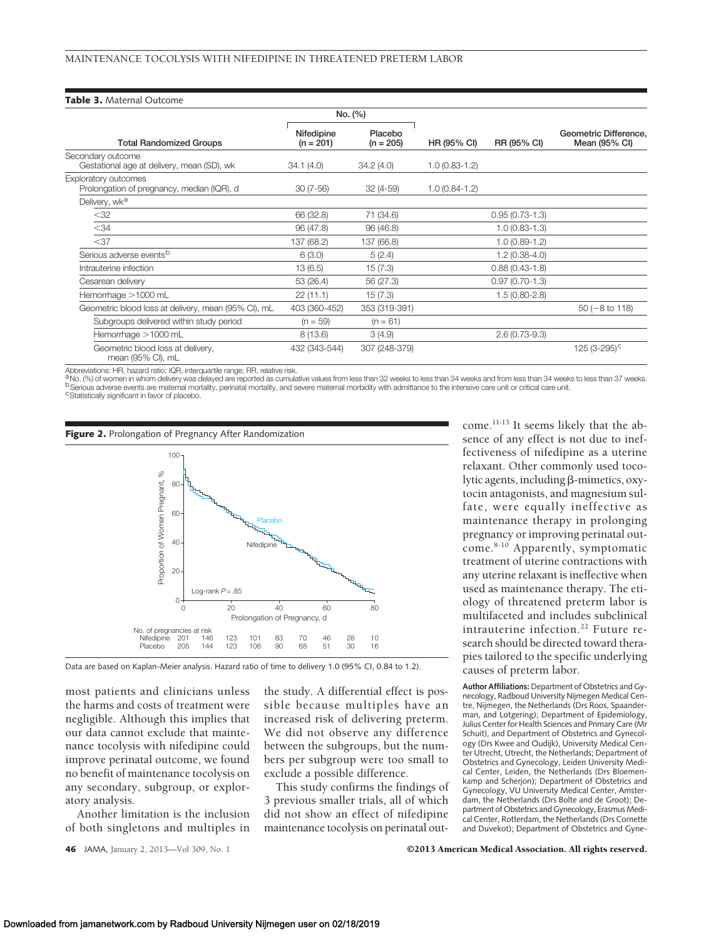#### **Table 3.** Maternal Outcome

|                                                                    | No. (%)                   |                        |                 |                  |                                        |
|--------------------------------------------------------------------|---------------------------|------------------------|-----------------|------------------|----------------------------------------|
| <b>Total Randomized Groups</b>                                     | Nifedipine<br>$(n = 201)$ | Placebo<br>$(n = 205)$ | HR (95% CI)     | RR (95% CI)      | Geometric Difference,<br>Mean (95% CI) |
| Secondary outcome<br>Gestational age at delivery, mean (SD), wk    | 34.1(4.0)                 | 34.2(4.0)              | $1.0(0.83-1.2)$ |                  |                                        |
| Exploratory outcomes<br>Prolongation of pregnancy, median (IQR), d | $30(7-56)$                | $32(4-59)$             | $1.0(0.84-1.2)$ |                  |                                        |
| Delivery, wk <sup>a</sup>                                          |                           |                        |                 |                  |                                        |
| $<$ 32                                                             | 66 (32.8)                 | 71 (34.6)              |                 | $0.95(0.73-1.3)$ |                                        |
| $<$ 34                                                             | 96 (47.8)                 | 96(46.8)               |                 | $1.0(0.83-1.3)$  |                                        |
| $<$ 37                                                             | 137 (68.2)                | 137 (66.8)             |                 | $1.0(0.89-1.2)$  |                                        |
| Serious adverse events <sup>b</sup>                                | 6(3.0)                    | 5(2.4)                 |                 | $1.2(0.38-4.0)$  |                                        |
| Intrauterine infection                                             | 13(6.5)                   | 15(7.3)                |                 | $0.88(0.43-1.8)$ |                                        |
| Cesarean delivery                                                  | 53 (26.4)                 | 56 (27.3)              |                 | $0.97(0.70-1.3)$ |                                        |
| Hemorrhage >1000 mL                                                | 22(11.1)                  | 15(7.3)                |                 | $1.5(0.80-2.8)$  |                                        |
| Geometric blood loss at delivery, mean (95% CI), mL                | 403 (360-452)             | 353 (319-391)          |                 |                  | $50(-8 \text{ to } 118)$               |
| Subgroups delivered within study period                            | $(n = 59)$                | $(n = 61)$             |                 |                  |                                        |
| Hemorrhage >1000 mL                                                | 8(13.6)                   | 3(4.9)                 |                 | $2.6(0.73-9.3)$  |                                        |
| Geometric blood loss at delivery,<br>mean (95% CI), mL             | 432 (343-544)             | 307 (248-379)          |                 |                  | 125 (3-295) <sup>c</sup>               |

Abbreviations: HR, hazard ratio; IQR, interquartile range; RR, relative risk.<br><sup>a</sup>No. (%) of women in whom delivery was delayed are reported as cumulative values from less than 32 weeks to less than 34 weeks to and from les





most patients and clinicians unless the harms and costs of treatment were negligible. Although this implies that our data cannot exclude that maintenance tocolysis with nifedipine could improve perinatal outcome, we found no benefit of maintenance tocolysis on any secondary, subgroup, or exploratory analysis.

Another limitation is the inclusion of both singletons and multiples in

the study. A differential effect is possible because multiples have an increased risk of delivering preterm. We did not observe any difference between the subgroups, but the numbers per subgroup were too small to exclude a possible difference.

This study confirms the findings of 3 previous smaller trials, all of which did not show an effect of nifedipine maintenance tocolysis on perinatal outcome.11-13 It seems likely that the absence of any effect is not due to ineffectiveness of nifedipine as a uterine relaxant. Other commonly used tocolytic agents, including  $\beta$ -mimetics, oxytocin antagonists, and magnesium sulfate, were equally ineffective as maintenance therapy in prolonging pregnancy or improving perinatal outcome.<sup>8-10</sup> Apparently, symptomatic treatment of uterine contractions with any uterine relaxant is ineffective when used as maintenance therapy. The etiology of threatened preterm labor is multifaceted and includes subclinical intrauterine infection.<sup>22</sup> Future research should be directed toward therapies tailored to the specific underlying causes of preterm labor.

**Author Affiliations:** Department of Obstetrics and Gynecology, Radboud University Nijmegen Medical Centre, Nijmegen, the Netherlands (Drs Roos, Spaanderman, and Lotgering); Department of Epidemiology, Julius Center for Health Sciences and Primary Care (Mr Schuit), and Department of Obstetrics and Gynecology (Drs Kwee and Oudijk), University Medical Center Utrecht, Utrecht, the Netherlands; Department of Obstetrics and Gynecology, Leiden University Medical Center, Leiden, the Netherlands (Drs Bloemenkamp and Scherjon); Department of Obstetrics and Gynecology, VU University Medical Center, Amsterdam, the Netherlands (Drs Bolte and de Groot); Department of Obstetrics and Gynecology, Erasmus Medical Center, Rotterdam, the Netherlands (Drs Cornette and Duvekot); Department of Obstetrics and Gyne-

**46** JAMA, January 2, 2013—Vol 309, No. 1 **Canadia American Medical Association. All rights reserved.**